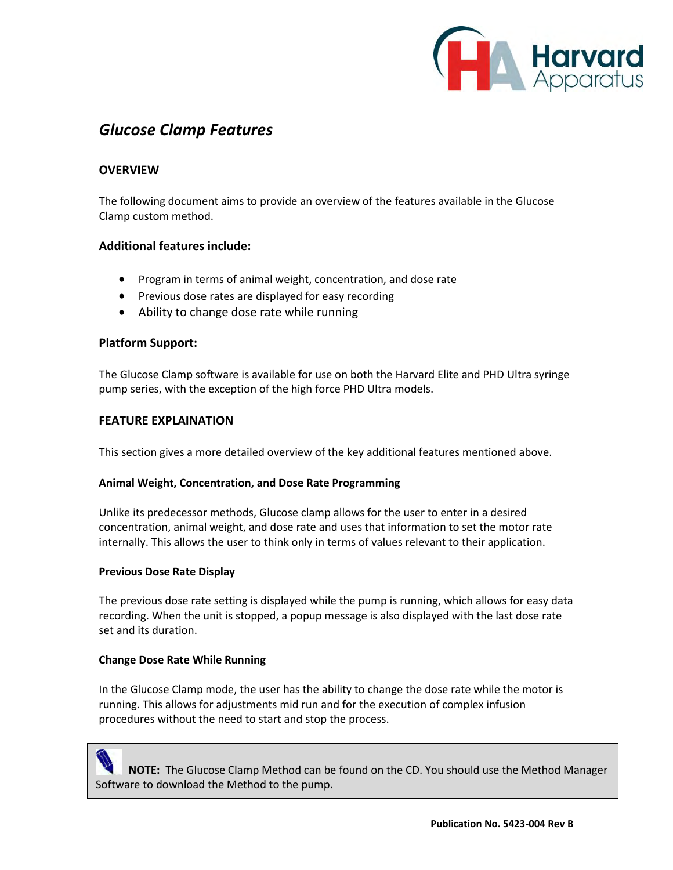

# *Glucose Clamp Features*

## **OVERVIEW**

The following document aims to provide an overview of the features available in the Glucose Clamp custom method.

## **Additional features include:**

- Program in terms of animal weight, concentration, and dose rate
- Previous dose rates are displayed for easy recording
- Ability to change dose rate while running

### **Platform Support:**

The Glucose Clamp software is available for use on both the Harvard Elite and PHD Ultra syringe pump series, with the exception of the high force PHD Ultra models.

### **FEATURE EXPLAINATION**

This section gives a more detailed overview of the key additional features mentioned above.

### **Animal Weight, Concentration, and Dose Rate Programming**

Unlike its predecessor methods, Glucose clamp allows for the user to enter in a desired concentration, animal weight, and dose rate and uses that information to set the motor rate internally. This allows the user to think only in terms of values relevant to their application.

### **Previous Dose Rate Display**

The previous dose rate setting is displayed while the pump is running, which allows for easy data recording. When the unit is stopped, a popup message is also displayed with the last dose rate set and its duration.

### **Change Dose Rate While Running**

In the Glucose Clamp mode, the user has the ability to change the dose rate while the motor is running. This allows for adjustments mid run and for the execution of complex infusion procedures without the need to start and stop the process.

 **NOTE:** The Glucose Clamp Method can be found on the CD. You should use the Method Manager Software to download the Method to the pump.